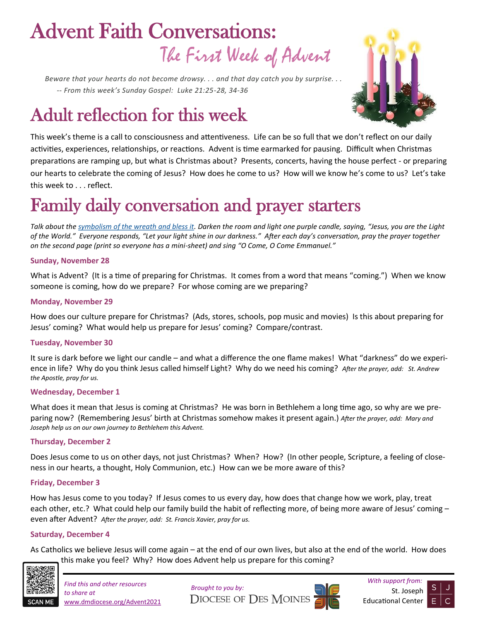# The First Week of Advent Advent Faith Conversations:

*Beware that your hearts do not become drowsy. . . and that day catch you by surprise. . . -- From this week's Sunday Gospel: Luke 21:25-28, 34-36*

# Adult reflection for this week



This week's theme is a call to consciousness and attentiveness. Life can be so full that we don't reflect on our daily activities, experiences, relationships, or reactions. Advent is time earmarked for pausing. Difficult when Christmas preparations are ramping up, but what is Christmas about? Presents, concerts, having the house perfect - or preparing our hearts to celebrate the coming of Jesus? How does he come to us? How will we know he's come to us? Let's take this week to . . . reflect.

# Family daily conversation and prayer starters

*Talk about the [symbolism of the wreath and bless it.](https://www.dmdiocese.org/filesimages/Catechetical%20Services/Advent%202021%20Family%20Resources/Advent%20Wreath%20Symbolism%20and%20Blessing.pdf) Darken the room and light one purple candle, saying, "Jesus, you are the Light of the World." Everyone responds, "Let your light shine in our darkness." After each day's conversation, pray the prayer together on the second page (print so everyone has a mini-sheet) and sing "O Come, O Come Emmanuel."* 

#### **Sunday, November 28**

What is Advent? (It is a time of preparing for Christmas. It comes from a word that means "coming.") When we know someone is coming, how do we prepare? For whose coming are we preparing?

#### **Monday, November 29**

How does our culture prepare for Christmas? (Ads, stores, schools, pop music and movies) Is this about preparing for Jesus' coming? What would help us prepare for Jesus' coming? Compare/contrast.

#### **Tuesday, November 30**

It sure is dark before we light our candle – and what a difference the one flame makes! What "darkness" do we experience in life? Why do you think Jesus called himself Light? Why do we need his coming? *After the prayer, add: St. Andrew the Apostle, pray for us.*

#### **Wednesday, December 1**

What does it mean that Jesus is coming at Christmas? He was born in Bethlehem a long time ago, so why are we preparing now? (Remembering Jesus' birth at Christmas somehow makes it present again.) *After the prayer, add: Mary and Joseph help us on our own journey to Bethlehem this Advent.*

#### **Thursday, December 2**

Does Jesus come to us on other days, not just Christmas? When? How? (In other people, Scripture, a feeling of closeness in our hearts, a thought, Holy Communion, etc.) How can we be more aware of this?

#### **Friday, December 3**

How has Jesus come to you today? If Jesus comes to us every day, how does that change how we work, play, treat each other, etc.? What could help our family build the habit of reflecting more, of being more aware of Jesus' coming – even after Advent? *After the prayer, add: St. Francis Xavier, pray for us.*

#### **Saturday, December 4**

As Catholics we believe Jesus will come again – at the end of our own lives, but also at the end of the world. How does this make you feel? Why? How does Advent help us prepare for this coming?



*to share at*  www.dmdiocese.org/Advent2021